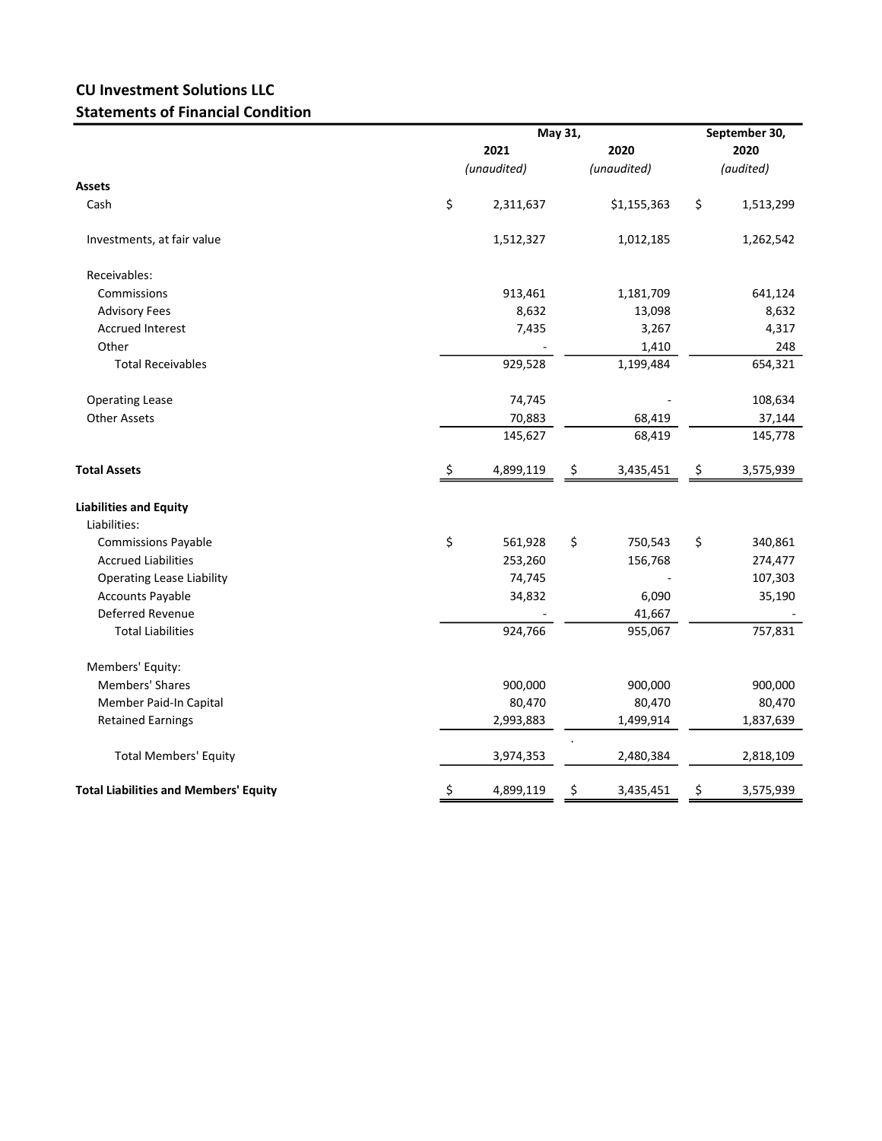## CU Investment Solutions LLC Statements of Financial Condition

|                                              |      | May 31,     |    |             |    | September 30, |  |  |
|----------------------------------------------|------|-------------|----|-------------|----|---------------|--|--|
|                                              | 2021 |             |    | 2020        |    | 2020          |  |  |
|                                              |      | (unaudited) |    | (audited)   |    |               |  |  |
| Assets                                       |      |             |    |             |    |               |  |  |
| Cash                                         | \$   | 2,311,637   |    | \$1,155,363 | \$ | 1,513,299     |  |  |
| Investments, at fair value                   |      | 1,512,327   |    | 1,012,185   |    | 1,262,542     |  |  |
| Receivables:                                 |      |             |    |             |    |               |  |  |
| Commissions                                  |      | 913,461     |    | 1,181,709   |    | 641,124       |  |  |
| <b>Advisory Fees</b>                         |      | 8,632       |    | 13,098      |    | 8,632         |  |  |
| <b>Accrued Interest</b>                      |      | 7,435       |    | 3,267       |    | 4,317         |  |  |
| Other                                        |      |             |    | 1,410       |    | 248           |  |  |
| <b>Total Receivables</b>                     |      | 929,528     |    | 1,199,484   |    | 654,321       |  |  |
| <b>Operating Lease</b>                       |      | 74,745      |    |             |    | 108,634       |  |  |
| <b>Other Assets</b>                          |      | 70,883      |    | 68,419      |    | 37,144        |  |  |
|                                              |      | 145,627     |    | 68,419      |    | 145,778       |  |  |
| <b>Total Assets</b>                          | \$   | 4,899,119   | \$ | 3,435,451   | \$ | 3,575,939     |  |  |
| <b>Liabilities and Equity</b>                |      |             |    |             |    |               |  |  |
| Liabilities:                                 |      |             |    |             |    |               |  |  |
| <b>Commissions Payable</b>                   | \$   | 561,928     | \$ | 750,543     | \$ | 340,861       |  |  |
| <b>Accrued Liabilities</b>                   |      | 253,260     |    | 156,768     |    | 274,477       |  |  |
| <b>Operating Lease Liability</b>             |      | 74,745      |    |             |    | 107,303       |  |  |
| <b>Accounts Payable</b>                      |      | 34,832      |    | 6,090       |    | 35,190        |  |  |
| Deferred Revenue                             |      |             |    | 41,667      |    |               |  |  |
| <b>Total Liabilities</b>                     |      | 924,766     |    | 955,067     |    | 757,831       |  |  |
| Members' Equity:                             |      |             |    |             |    |               |  |  |
| <b>Members' Shares</b>                       |      | 900,000     |    | 900,000     |    | 900,000       |  |  |
| Member Paid-In Capital                       |      | 80,470      |    | 80,470      |    | 80,470        |  |  |
| <b>Retained Earnings</b>                     |      | 2,993,883   |    | 1,499,914   |    | 1,837,639     |  |  |
| <b>Total Members' Equity</b>                 |      | 3,974,353   |    | 2,480,384   |    | 2,818,109     |  |  |
| <b>Total Liabilities and Members' Equity</b> | \$   | 4,899,119   | \$ | 3,435,451   | \$ | 3,575,939     |  |  |